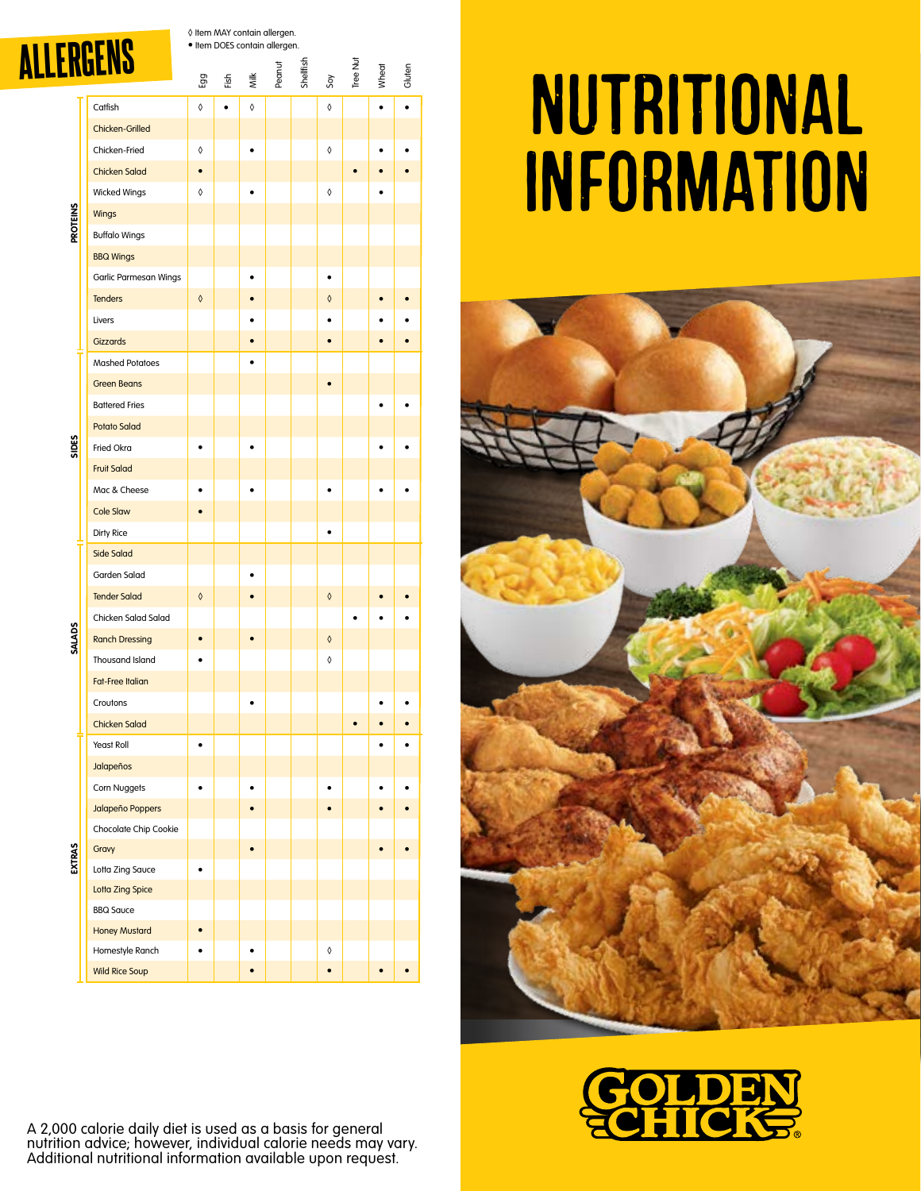| ALLERGENS |  |  |
|-----------|--|--|
|           |  |  |

◊ Item MAY contain allergen. • Item DOES contain allergen.

|                 | <u>'Untiag</u>                           | Egg        | 준.<br>Eis |   | Milk<br>Peanut | <b>Shellfish</b> | Soy        | Tree Nut | Wheat | Gluten |
|-----------------|------------------------------------------|------------|-----------|---|----------------|------------------|------------|----------|-------|--------|
|                 | Catfish                                  | ♦          |           | ♦ |                |                  | ♦          |          |       |        |
|                 | Chicken-Grilled                          |            |           |   |                |                  |            |          |       |        |
|                 | Chicken-Fried                            | 0          |           |   |                |                  | ♦          |          |       |        |
|                 | <b>Chicken Salad</b>                     |            |           |   |                |                  |            |          |       |        |
|                 | <b>Wicked Wings</b>                      | ♦          |           |   |                |                  | ♦          |          |       |        |
|                 | Wings                                    |            |           |   |                |                  |            |          |       |        |
| <b>PROTEINS</b> | <b>Buffalo Wings</b>                     |            |           |   |                |                  |            |          |       |        |
|                 | <b>BBQ Wings</b>                         |            |           |   |                |                  |            |          |       |        |
|                 | Garlic Parmesan Wings                    |            |           |   |                |                  |            |          |       |        |
|                 | <b>Tenders</b>                           | $\Diamond$ |           |   |                |                  | ♦          |          |       |        |
|                 | Livers                                   |            |           |   |                |                  |            |          |       |        |
|                 | <b>Gizzards</b>                          |            |           |   |                |                  |            |          |       |        |
|                 | <b>Mashed Potatoes</b>                   |            |           |   |                |                  |            |          |       |        |
|                 | <b>Green Beans</b>                       |            |           |   |                |                  |            |          |       |        |
|                 | <b>Battered Fries</b>                    |            |           |   |                |                  |            |          |       |        |
|                 | <b>Potato Salad</b>                      |            |           |   |                |                  |            |          |       |        |
| SIDES           | Fried Okra                               |            |           |   |                |                  |            |          |       |        |
|                 | <b>Fruit Salad</b>                       |            |           |   |                |                  |            |          |       |        |
|                 | Mac & Cheese                             |            |           |   |                |                  |            |          |       |        |
|                 | <b>Cole Slaw</b>                         |            |           |   |                |                  |            |          |       |        |
|                 | Dirty Rice                               |            |           |   |                |                  | ٠          |          |       |        |
|                 | <b>Side Salad</b>                        |            |           |   |                |                  |            |          |       |        |
|                 | Garden Salad                             |            |           |   |                |                  |            |          |       |        |
|                 | <b>Tender Salad</b>                      | ♦          |           |   |                |                  | ♦          |          |       |        |
|                 | Chicken Salad Salad                      |            |           |   |                |                  |            |          |       |        |
| <b>SALADS</b>   | <b>Ranch Dressing</b>                    |            |           |   |                |                  | $\Diamond$ |          |       |        |
|                 | <b>Thousand Island</b>                   |            |           |   |                |                  | ♦          |          |       |        |
|                 | <b>Fat-Free Italian</b>                  |            |           |   |                |                  |            |          |       |        |
|                 | Croutons                                 |            |           |   |                |                  |            |          |       |        |
|                 | <b>Chicken Salad</b>                     |            |           |   |                |                  |            |          |       |        |
|                 | Yeast Roll                               |            |           |   |                |                  |            |          |       |        |
|                 | Jalapeños                                |            |           |   |                |                  |            |          |       |        |
|                 | Corn Nuggets                             |            |           |   |                |                  |            |          |       |        |
|                 | Jalapeño Poppers                         |            |           |   |                |                  |            |          |       |        |
|                 | Chocolate Chip Cookie                    |            |           |   |                |                  |            |          |       |        |
| EXTRAS          | Gravy                                    |            |           |   |                |                  |            |          |       |        |
|                 | Lotta Zing Sauce                         |            |           |   |                |                  |            |          |       |        |
|                 | <b>Lotta Zing Spice</b>                  |            |           |   |                |                  |            |          |       |        |
|                 | <b>BBQ Sauce</b>                         |            |           |   |                |                  |            |          |       |        |
|                 | <b>Honey Mustard</b>                     |            |           |   |                |                  |            |          |       |        |
|                 | Homestyle Ranch<br><b>Wild Rice Soup</b> |            |           |   |                |                  | 0          |          |       |        |
|                 |                                          |            |           |   |                |                  |            |          |       |        |

## Nutritional Information





A 2,000 calorie daily diet is used as a basis for general nutrition advice; however, individual calorie needs may vary. Additional nutritional information available upon request.